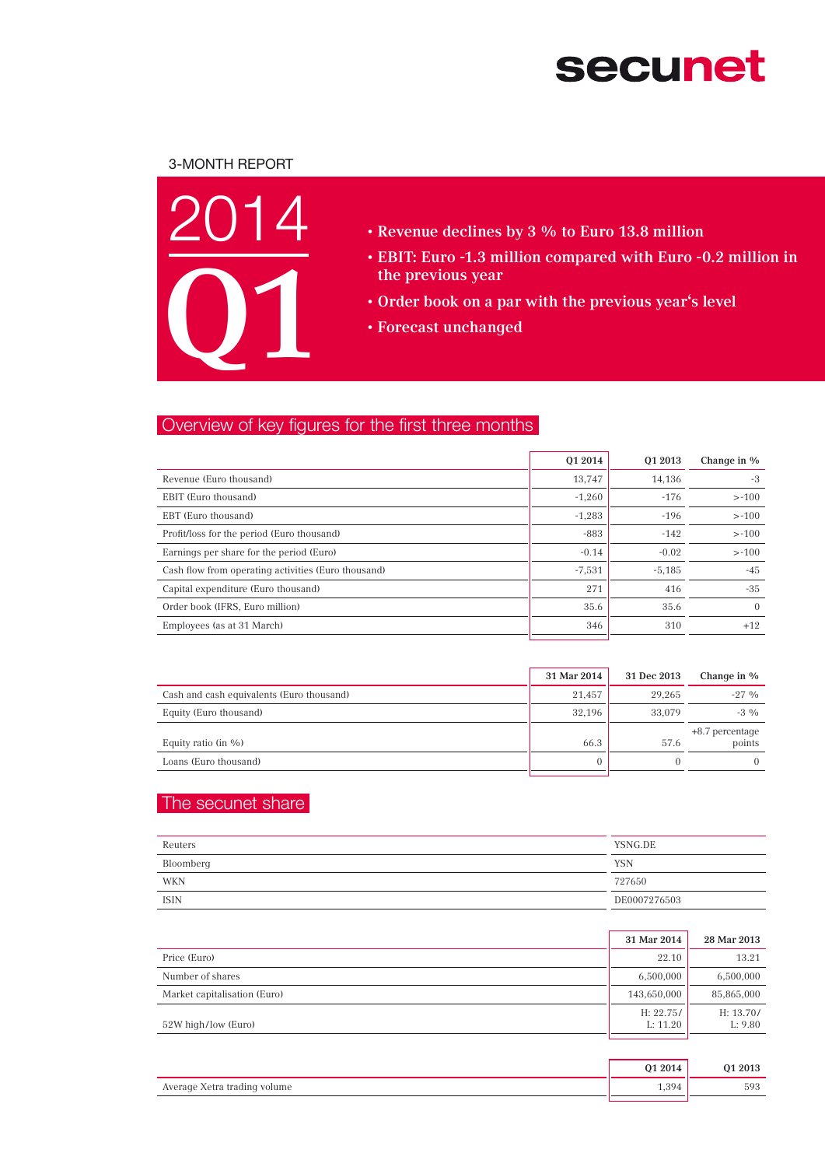# **secunet**

## 3-Month Report



- • Revenue declines by 3 % to Euro 13.8 million
- • EBIT: Euro -1.3 million compared with Euro -0.2 million in the previous year
- • Order book on a par with the previous year's level
- • Forecast unchanged

## Overview of key figures for the first three months

| 01 2014  | 01 2013  | Change in % |
|----------|----------|-------------|
| 13.747   | 14.136   | -3          |
| $-1,260$ | $-176$   | $> -100$    |
| $-1,283$ | $-196$   | $> -100$    |
| $-883$   | $-142$   | $> -100$    |
| $-0.14$  | $-0.02$  | $> -100$    |
| $-7,531$ | $-5,185$ | $-45$       |
| 271      | 416      | $-35$       |
| 35.6     | 35.6     | $\Omega$    |
| 346      | 310      | $+12$       |
|          |          |             |

|                                           | 31 Mar 2014 | 31 Dec 2013 | Change in %                 |
|-------------------------------------------|-------------|-------------|-----------------------------|
| Cash and cash equivalents (Euro thousand) | 21.457      | 29.265      | $-27.96$                    |
| Equity (Euro thousand)                    | 32.196      | 33,079      | $-3\%$                      |
| Equity ratio (in $\%$ )                   | 66.3        | 57.6        | $+8.7$ percentage<br>points |
| Loans (Euro thousand)                     |             |             |                             |

## The secunet share

| Reuters   | YSNG.DE      |
|-----------|--------------|
| Bloomberg | <b>YSN</b>   |
| WKN       | 727650       |
| ISIN      | DE0007276503 |

|                              | 31 Mar 2014           | 28 Mar 2013          |
|------------------------------|-----------------------|----------------------|
| Price (Euro)                 | 22.10                 | 13.21                |
| Number of shares             | 6,500,000             | 6,500,000            |
| Market capitalisation (Euro) | 143,650,000           | 85,865,000           |
| 52W high/low (Euro)          | H: 22.75/<br>L: 11.20 | H: 13.70/<br>L: 9.80 |

|                              | 01 2014       | 01 2013 |
|------------------------------|---------------|---------|
| Average Xetra trading volume | i 20 <i>1</i> | 593     |
|                              |               |         |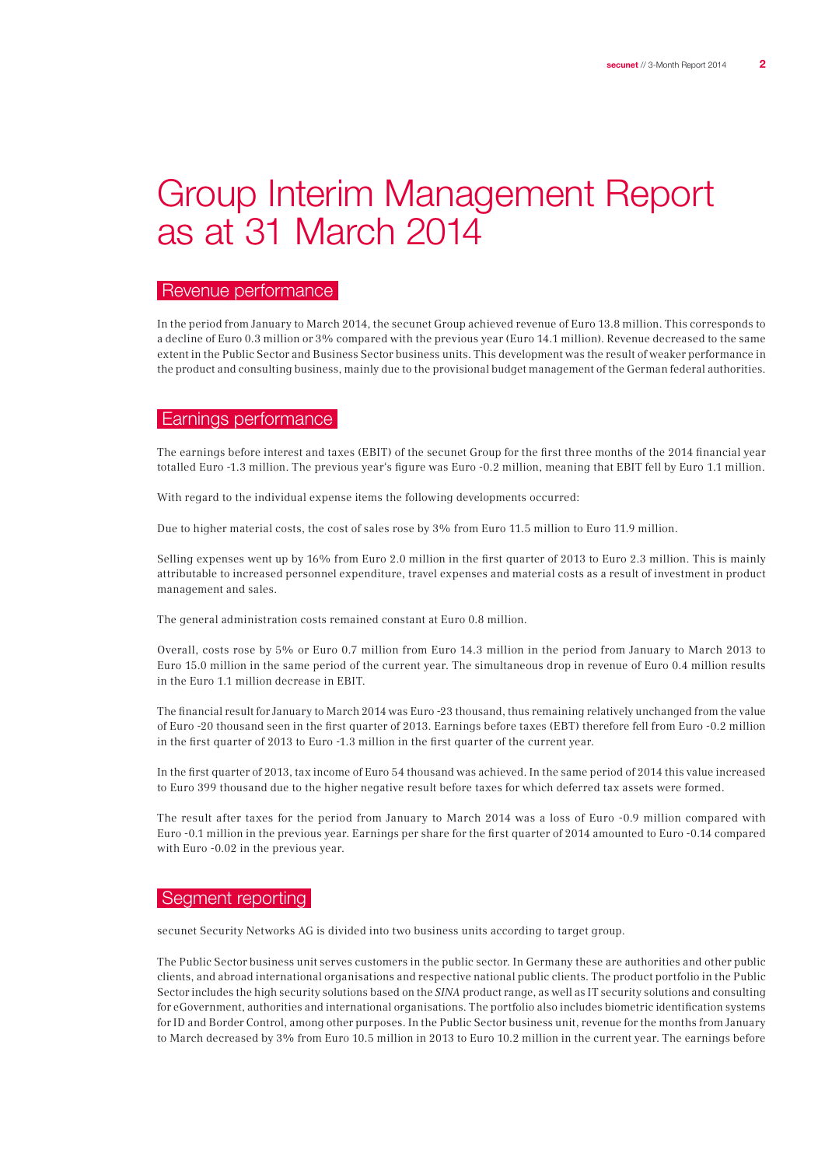## Group Interim Management Report as at 31 March 2014

## Revenue performance

In the period from January to March 2014, the secunet Group achieved revenue of Euro 13.8 million. This corresponds to a decline of Euro 0.3 million or 3% compared with the previous year (Euro 14.1 million). Revenue decreased to the same extent in the Public Sector and Business Sector business units. This development was the result of weaker performance in the product and consulting business, mainly due to the provisional budget management of the German federal authorities.

### Earnings performance

The earnings before interest and taxes (EBIT) of the secunet Group for the first three months of the 2014 financial year totalled Euro -1.3 million. The previous year's figure was Euro -0.2 million, meaning that EBIT fell by Euro 1.1 million.

With regard to the individual expense items the following developments occurred:

Due to higher material costs, the cost of sales rose by 3% from Euro 11.5 million to Euro 11.9 million.

Selling expenses went up by 16% from Euro 2.0 million in the first quarter of 2013 to Euro 2.3 million. This is mainly attributable to increased personnel expenditure, travel expenses and material costs as a result of investment in product management and sales.

The general administration costs remained constant at Euro 0.8 million.

Overall, costs rose by 5% or Euro 0.7 million from Euro 14.3 million in the period from January to March 2013 to Euro 15.0 million in the same period of the current year. The simultaneous drop in revenue of Euro 0.4 million results in the Euro 1.1 million decrease in EBIT.

The financial result for January to March 2014 was Euro -23 thousand, thus remaining relatively unchanged from the value of Euro -20 thousand seen in the first quarter of 2013. Earnings before taxes (EBT) therefore fell from Euro -0.2 million in the first quarter of 2013 to Euro -1.3 million in the first quarter of the current year.

In the first quarter of 2013, tax income of Euro 54 thousand was achieved. In the same period of 2014 this value increased to Euro 399 thousand due to the higher negative result before taxes for which deferred tax assets were formed.

The result after taxes for the period from January to March 2014 was a loss of Euro -0.9 million compared with Euro -0.1 million in the previous year. Earnings per share for the first quarter of 2014 amounted to Euro -0.14 compared with Euro -0.02 in the previous year.

#### Segment reporting

secunet Security Networks AG is divided into two business units according to target group.

The Public Sector business unit serves customers in the public sector. In Germany these are authorities and other public clients, and abroad international organisations and respective national public clients. The product portfolio in the Public Sector includes the high security solutions based on the SINA product range, as well as IT security solutions and consulting for eGovernment, authorities and international organisations. The portfolio also includes biometric identification systems for ID and Border Control, among other purposes. In the Public Sector business unit, revenue for the months from January to March decreased by 3% from Euro 10.5 million in 2013 to Euro 10.2 million in the current year. The earnings before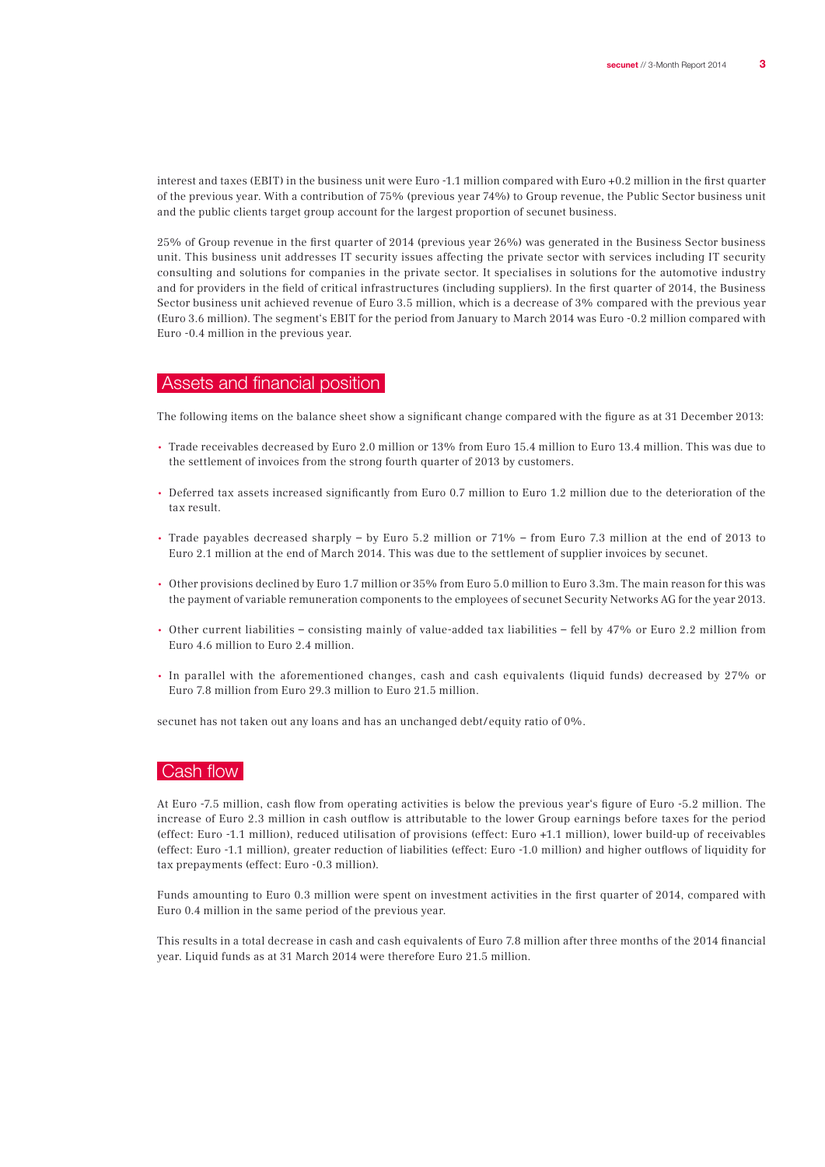interest and taxes (EBIT) in the business unit were Euro -1.1 million compared with Euro +0.2 million in the first quarter of the previous year. With a contribution of 75% (previous year 74%) to Group revenue, the Public Sector business unit and the public clients target group account for the largest proportion of secunet business.

25% of Group revenue in the first quarter of 2014 (previous year 26%) was generated in the Business Sector business unit. This business unit addresses IT security issues affecting the private sector with services including IT security consulting and solutions for companies in the private sector. It specialises in solutions for the automotive industry and for providers in the field of critical infrastructures (including suppliers). In the first quarter of 2014, the Business Sector business unit achieved revenue of Euro 3.5 million, which is a decrease of 3% compared with the previous year (Euro 3.6 million). The segment's EBIT for the period from January to March 2014 was Euro -0.2 million compared with Euro -0.4 million in the previous year.

### Assets and financial position

The following items on the balance sheet show a significant change compared with the figure as at 31 December 2013:

- Trade receivables decreased by Euro 2.0 million or 13% from Euro 15.4 million to Euro 13.4 million. This was due to the settlement of invoices from the strong fourth quarter of 2013 by customers.
- Deferred tax assets increased significantly from Euro 0.7 million to Euro 1.2 million due to the deterioration of the tax result.
- Trade payables decreased sharply by Euro 5.2 million or 71% from Euro 7.3 million at the end of 2013 to Euro 2.1 million at the end of March 2014. This was due to the settlement of supplier invoices by secunet.
- Other provisions declined by Euro 1.7 million or 35% from Euro 5.0 million to Euro 3.3m. The main reason for this was the payment of variable remuneration components to the employees of secunet Security Networks AG for the year 2013.
- Other current liabilities consisting mainly of value-added tax liabilities fell by 47% or Euro 2.2 million from Euro 4.6 million to Euro 2.4 million.
- In parallel with the aforementioned changes, cash and cash equivalents (liquid funds) decreased by 27% or Euro 7.8 million from Euro 29.3 million to Euro 21.5 million.

secunet has not taken out any loans and has an unchanged debt/equity ratio of 0%.

## Cash flow

At Euro -7.5 million, cash flow from operating activities is below the previous year's figure of Euro -5.2 million. The increase of Euro 2.3 million in cash outflow is attributable to the lower Group earnings before taxes for the period (effect: Euro -1.1 million), reduced utilisation of provisions (effect: Euro +1.1 million), lower build-up of receivables (effect: Euro -1.1 million), greater reduction of liabilities (effect: Euro -1.0 million) and higher outflows of liquidity for tax prepayments (effect: Euro -0.3 million).

Funds amounting to Euro 0.3 million were spent on investment activities in the first quarter of 2014, compared with Euro 0.4 million in the same period of the previous year.

This results in a total decrease in cash and cash equivalents of Euro 7.8 million after three months of the 2014 financial year. Liquid funds as at 31 March 2014 were therefore Euro 21.5 million.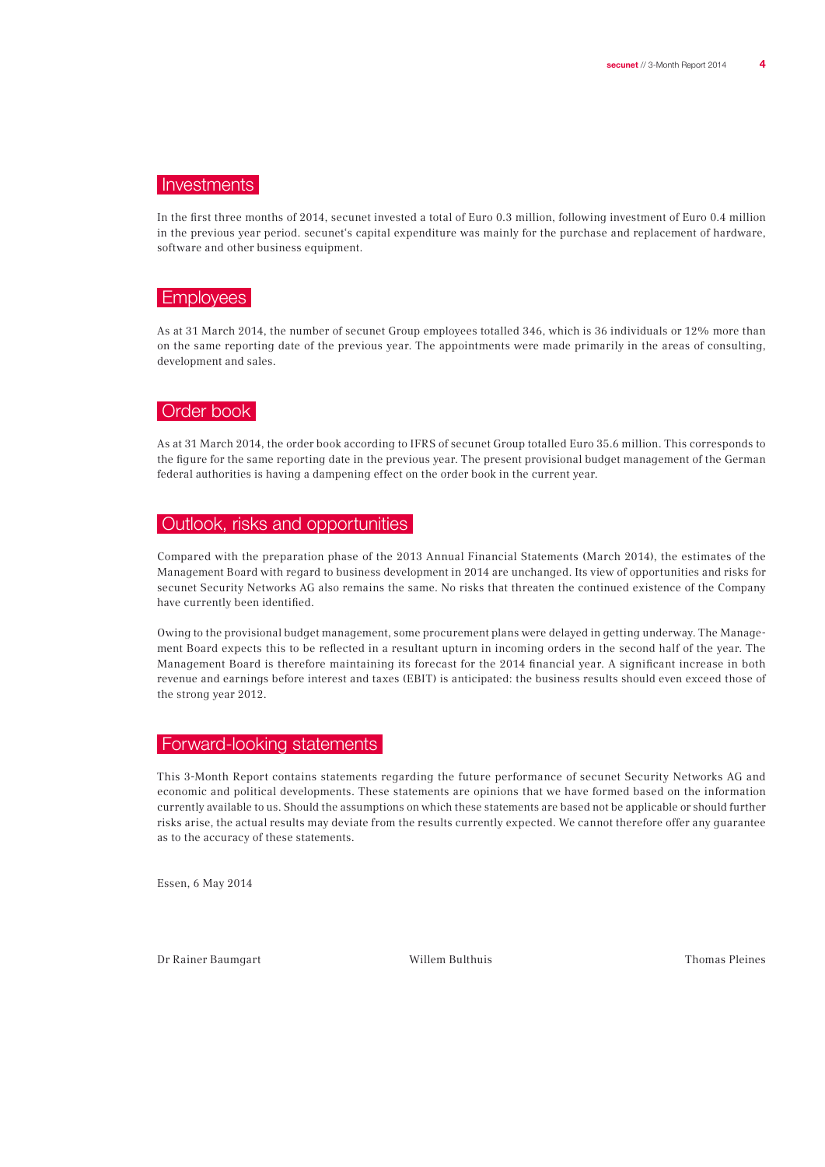### Investments

In the first three months of 2014, secunet invested a total of Euro 0.3 million, following investment of Euro 0.4 million in the previous year period. secunet's capital expenditure was mainly for the purchase and replacement of hardware, software and other business equipment.

## **Employees**

As at 31 March 2014, the number of secunet Group employees totalled 346, which is 36 individuals or 12% more than on the same reporting date of the previous year. The appointments were made primarily in the areas of consulting, development and sales.

#### Order book

As at 31 March 2014, the order book according to IFRS of secunet Group totalled Euro 35.6 million. This corresponds to the figure for the same reporting date in the previous year. The present provisional budget management of the German federal authorities is having a dampening effect on the order book in the current year.

## Outlook, risks and opportunities

Compared with the preparation phase of the 2013 Annual Financial Statements (March 2014), the estimates of the Management Board with regard to business development in 2014 are unchanged. Its view of opportunities and risks for secunet Security Networks AG also remains the same. No risks that threaten the continued existence of the Company have currently been identified.

Owing to the provisional budget management, some procurement plans were delayed in getting underway. The Management Board expects this to be reflected in a resultant upturn in incoming orders in the second half of the year. The Management Board is therefore maintaining its forecast for the 2014 financial year. A significant increase in both revenue and earnings before interest and taxes (EBIT) is anticipated: the business results should even exceed those of the strong year 2012.

#### Forward-looking statements

This 3-Month Report contains statements regarding the future performance of secunet Security Networks AG and economic and political developments. These statements are opinions that we have formed based on the information currently available to us. Should the assumptions on which these statements are based not be applicable or should further risks arise, the actual results may deviate from the results currently expected. We cannot therefore offer any guarantee as to the accuracy of these statements.

Essen, 6 May 2014

Dr Rainer Baumgart Willem Bulthuis Thomas Pleines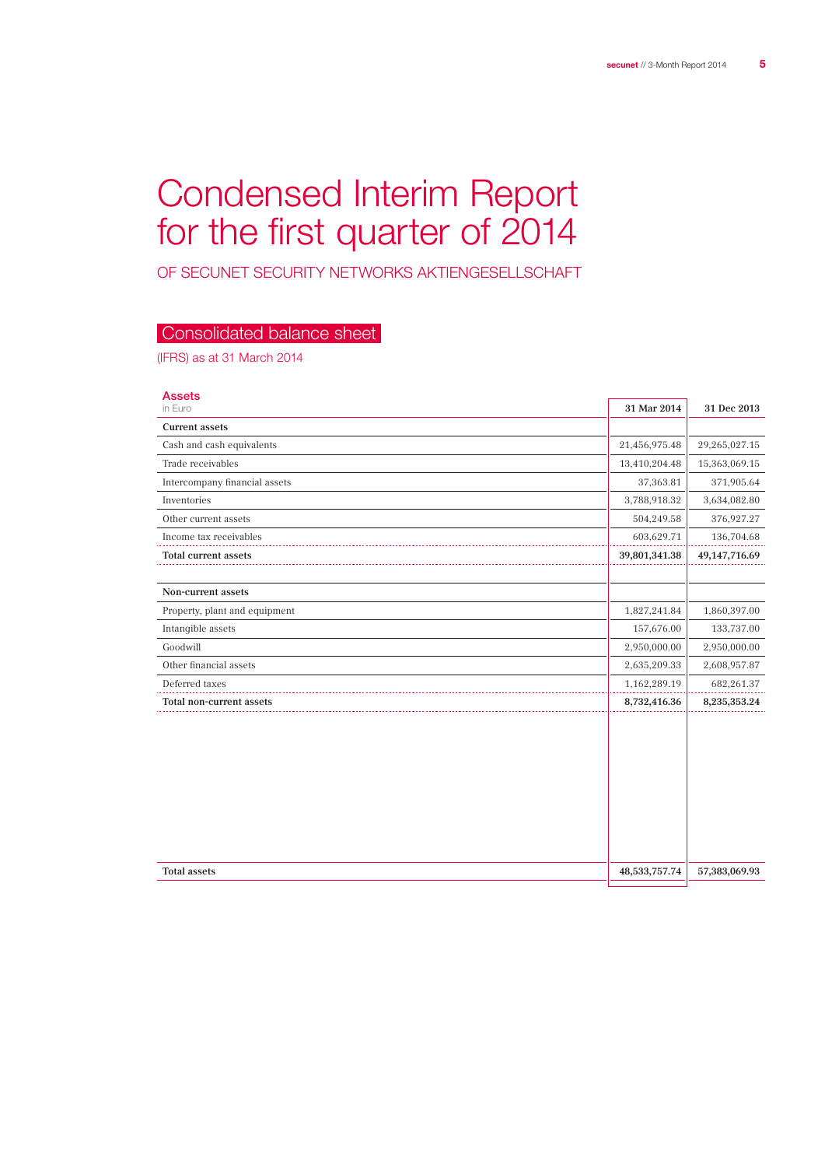## Condensed Interim Report for the first quarter of 2014

of secunet Security Networks Aktiengesellschaft

## Consolidated balance sheet

(IFRS) as at 31 March 2014

| <b>Assets</b>                 |               |                  |
|-------------------------------|---------------|------------------|
| in Euro                       | 31 Mar 2014   | 31 Dec 2013      |
| <b>Current assets</b>         |               |                  |
| Cash and cash equivalents     | 21,456,975.48 | 29,265,027.15    |
| Trade receivables             | 13,410,204.48 | 15,363,069.15    |
| Intercompany financial assets | 37,363.81     | 371,905.64       |
| Inventories                   | 3,788,918.32  | 3,634,082.80     |
| Other current assets          | 504,249.58    | 376,927.27       |
| Income tax receivables        | 603,629.71    | 136,704.68       |
| <b>Total current assets</b>   | 39,801,341.38 | 49, 147, 716. 69 |
|                               |               |                  |
| Non-current assets            |               |                  |
| Property, plant and equipment | 1,827,241.84  | 1,860,397.00     |
| Intangible assets             | 157,676.00    | 133,737.00       |
| Goodwill                      | 2,950,000.00  | 2,950,000.00     |
| Other financial assets        | 2,635,209.33  | 2,608,957.87     |
| Deferred taxes                | 1,162,289.19  | 682,261.37       |
| Total non-current assets      | 8,732,416.36  | 8,235,353.24     |
|                               |               |                  |
| <b>Total assets</b>           | 48,533,757.74 | 57,383,069.93    |
|                               |               |                  |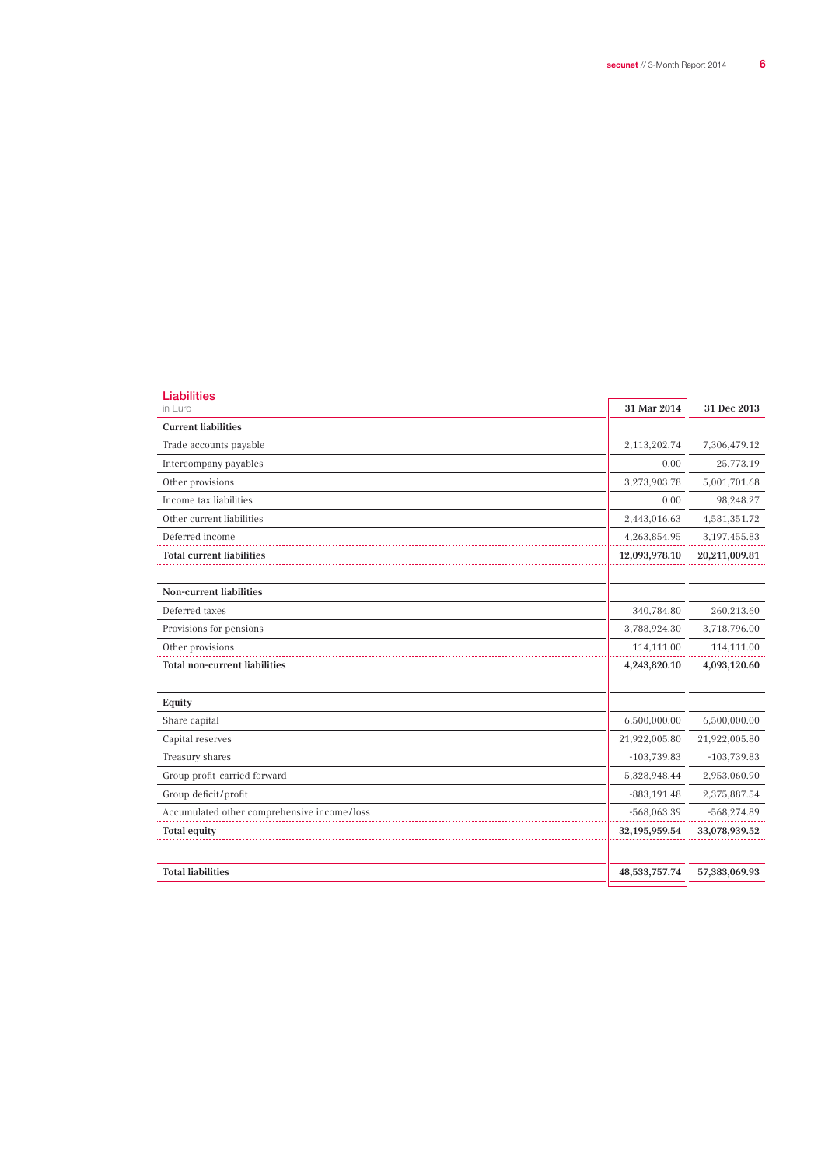L

| <b>Liabilities</b><br>in Euro               | 31 Mar 2014      | 31 Dec 2013    |
|---------------------------------------------|------------------|----------------|
| <b>Current liabilities</b>                  |                  |                |
| Trade accounts payable                      | 2,113,202.74     | 7,306,479.12   |
| Intercompany payables                       | 0.00             | 25,773.19      |
| Other provisions                            | 3,273,903.78     | 5,001,701.68   |
| Income tax liabilities                      | 0.00             | 98,248.27      |
| Other current liabilities                   | 2,443,016.63     | 4,581,351.72   |
| Deferred income                             | 4,263,854.95     | 3, 197, 455.83 |
| <b>Total current liabilities</b>            | 12,093,978.10    | 20,211,009.81  |
| Non-current liabilities                     |                  |                |
| Deferred taxes                              | 340,784.80       | 260,213.60     |
| Provisions for pensions                     | 3,788,924.30     | 3,718,796.00   |
| Other provisions                            | 114,111.00       | 114,111.00     |
| <b>Total non-current liabilities</b>        | 4,243,820.10     | 4,093,120.60   |
| Equity                                      |                  |                |
| Share capital                               | 6,500,000.00     | 6,500,000.00   |
| Capital reserves                            | 21,922,005.80    | 21,922,005.80  |
| Treasury shares                             | $-103,739.83$    | $-103,739.83$  |
| Group profit carried forward                | 5,328,948.44     | 2,953,060.90   |
| Group deficit/profit                        | $-883, 191.48$   | 2,375,887.54   |
| Accumulated other comprehensive income/loss | $-568,063.39$    | $-568,274.89$  |
| <b>Total equity</b>                         | 32,195,959.54    | 33,078,939.52  |
| <b>Total liabilities</b>                    | 48, 533, 757. 74 | 57,383,069.93  |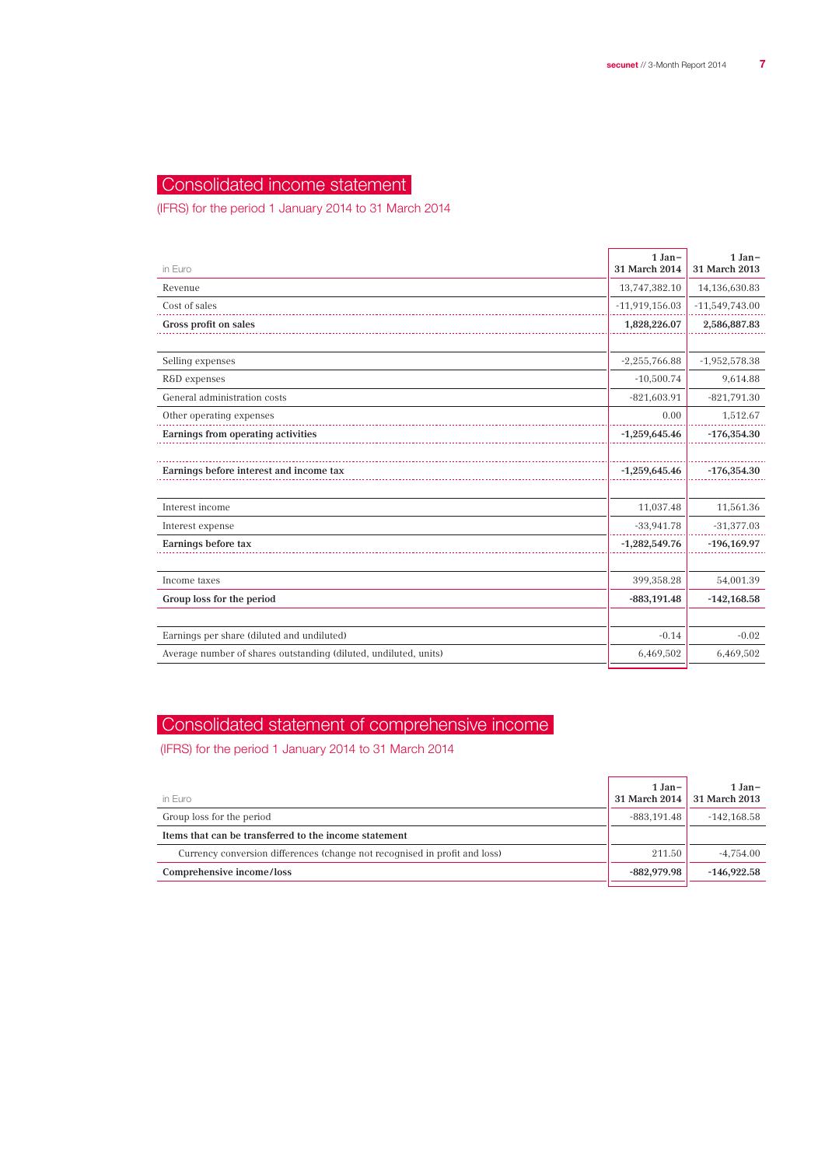## Consolidated income statement

(IFRS) for the period 1 January 2014 to 31 March 2014

| in Euro                                                          | $1 Jan-$<br>31 March 2014 | $1 Jan-$<br>31 March 2013 |
|------------------------------------------------------------------|---------------------------|---------------------------|
| Revenue                                                          | 13,747,382.10             | 14,136,630.83             |
| Cost of sales                                                    | $-11,919,156.03$          | $-11,549,743.00$          |
| Gross profit on sales                                            | 1,828,226.07              | 2,586,887.83              |
|                                                                  |                           |                           |
| Selling expenses                                                 | $-2,255,766.88$           | $-1,952,578.38$           |
| R&D expenses                                                     | $-10,500.74$              | 9,614.88                  |
| General administration costs                                     | $-821,603.91$             | $-821,791.30$             |
| Other operating expenses                                         | 0.00                      | 1,512.67                  |
| Earnings from operating activities                               | $-1,259,645.46$           | $-176,354.30$             |
|                                                                  |                           |                           |
| Earnings before interest and income tax                          | $-1,259,645.46$           | $-176,354.30$             |
|                                                                  |                           |                           |
| Interest income                                                  | 11,037.48                 | 11,561.36                 |
| Interest expense                                                 | $-33,941.78$              | $-31,377.03$              |
| Earnings before tax                                              | $-1,282,549.76$           | $-196, 169.97$            |
|                                                                  |                           |                           |
| Income taxes                                                     | 399,358.28                | 54,001.39                 |
| Group loss for the period                                        | $-883,191.48$             | $-142,168.58$             |
|                                                                  |                           |                           |
| Earnings per share (diluted and undiluted)                       | $-0.14$                   | $-0.02$                   |
| Average number of shares outstanding (diluted, undiluted, units) | 6,469,502                 | 6,469,502                 |
|                                                                  |                           |                           |

## Consolidated statement of comprehensive income

(IFRS) for the period 1 January 2014 to 31 March 2014

| in Euro                                                                    | $1 Jan-$<br>31 March 2014 | $1 Jan-$<br>31 March 2013 |
|----------------------------------------------------------------------------|---------------------------|---------------------------|
| Group loss for the period                                                  | -883.191.48               | $-142.168.58$             |
| Items that can be transferred to the income statement                      |                           |                           |
| Currency conversion differences (change not recognised in profit and loss) | 211.50                    | $-4.754.00$               |
| Comprehensive income/loss                                                  | $-882.979.98$             | $-146.922.58$             |
|                                                                            |                           |                           |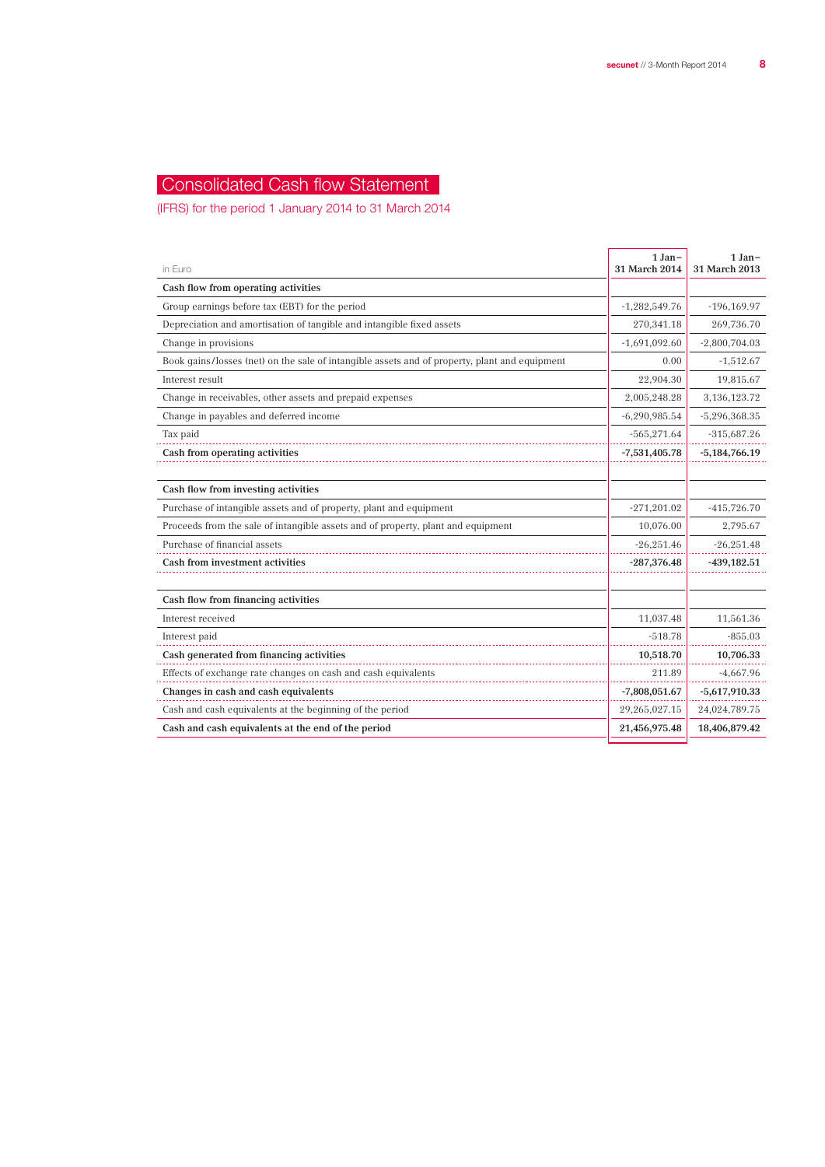## Consolidated Cash flow Statement

(IFRS) for the period 1 January 2014 to 31 March 2014

| in Euro                                                                                       | $1 Jan-$<br>31 March 2014 | $1 Jan-$<br>31 March 2013 |
|-----------------------------------------------------------------------------------------------|---------------------------|---------------------------|
| Cash flow from operating activities                                                           |                           |                           |
| Group earnings before tax (EBT) for the period                                                | $-1,282,549.76$           | $-196, 169.97$            |
| Depreciation and amortisation of tangible and intangible fixed assets                         | 270,341.18                | 269,736.70                |
| Change in provisions                                                                          | $-1,691,092.60$           | $-2,800,704.03$           |
| Book gains/losses (net) on the sale of intangible assets and of property, plant and equipment | 0.00                      | $-1,512.67$               |
| Interest result                                                                               | 22,904.30                 | 19,815.67                 |
| Change in receivables, other assets and prepaid expenses                                      | 2,005,248.28              | 3,136,123.72              |
| Change in payables and deferred income                                                        | $-6,290,985.54$           | $-5,296,368.35$           |
| Tax paid                                                                                      | $-565,271.64$             | $-315,687.26$             |
| Cash from operating activities                                                                | $-7,531,405.78$           | $-5,184,766.19$           |
|                                                                                               |                           |                           |
| Cash flow from investing activities                                                           |                           |                           |
| Purchase of intangible assets and of property, plant and equipment                            | $-271,201.02$             | $-415,726.70$             |
| Proceeds from the sale of intangible assets and of property, plant and equipment              | 10,076.00                 | 2,795.67                  |
| Purchase of financial assets                                                                  | $-26,251.46$              | $-26,251.48$              |
| Cash from investment activities                                                               | $-287,376.48$             | $-439,182.51$             |
|                                                                                               |                           |                           |
| Cash flow from financing activities                                                           |                           |                           |
| Interest received                                                                             | 11,037.48                 | 11,561.36                 |
| Interest paid                                                                                 | $-518.78$                 | $-855.03$                 |
| Cash generated from financing activities                                                      | 10,518.70                 | 10,706.33                 |
| Effects of exchange rate changes on cash and cash equivalents                                 | 211.89                    | $-4,667.96$               |
| Changes in cash and cash equivalents                                                          | $-7,808,051.67$           | $-5,617,910.33$           |
| Cash and cash equivalents at the beginning of the period                                      | 29,265,027.15             | 24,024,789.75             |
| Cash and cash equivalents at the end of the period                                            | 21,456,975.48             | 18,406,879.42             |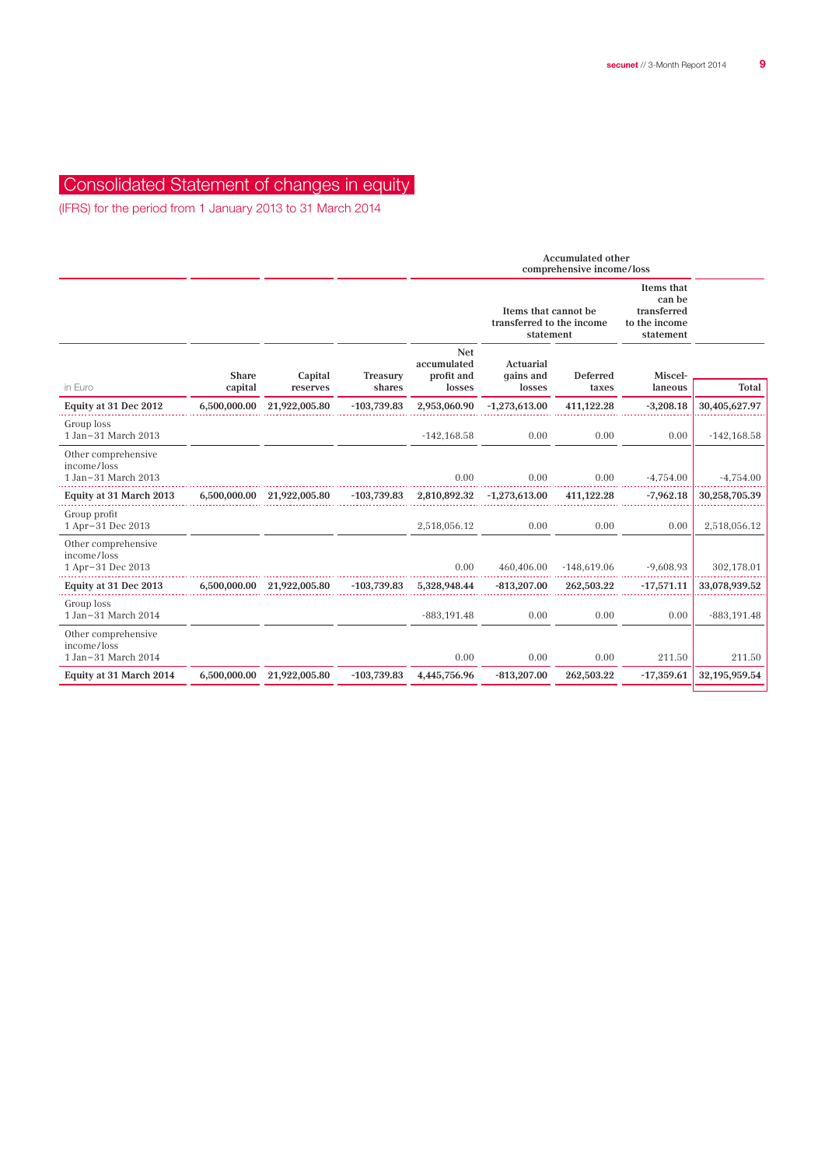## Consolidated Statement of changes in equity

(IFRS) for the period from 1 January 2013 to 31 March 2014

|                                                           |                  |                            |                    | <b>Accumulated other</b><br>comprehensive income/loss |                                                                |                   |                                                                   |                |
|-----------------------------------------------------------|------------------|----------------------------|--------------------|-------------------------------------------------------|----------------------------------------------------------------|-------------------|-------------------------------------------------------------------|----------------|
|                                                           |                  |                            |                    |                                                       | Items that cannot be<br>transferred to the income<br>statement |                   | Items that<br>can be<br>transferred<br>to the income<br>statement |                |
| in Euro                                                   | Share<br>capital | Capital<br>reserves        | Treasury<br>shares | <b>Net</b><br>accumulated<br>profit and<br>losses     | Actuarial<br>qains and<br>losses                               | Deferred<br>taxes | Miscel-<br>laneous                                                | <b>Total</b>   |
| Equity at 31 Dec 2012                                     | 6,500,000.00     | 21,922,005.80              | $-103,739.83$      | 2,953,060.90                                          | $-1,273,613.00$                                                | 411,122.28        | $-3,208.18$                                                       | 30,405,627.97  |
| Group loss<br>1 Jan-31 March 2013                         |                  |                            |                    | $-142, 168.58$                                        | 0.00                                                           | 0.00              | 0.00                                                              | $-142, 168.58$ |
| Other comprehensive<br>income/loss<br>1 Jan-31 March 2013 |                  |                            |                    | 0.00                                                  | 0.00                                                           | 0.00              | $-4,754.00$                                                       | $-4,754.00$    |
| Equity at 31 March 2013                                   | 6,500,000.00     | 21,922,005.80              | $-103.739.83$      | 2,810,892.32                                          | $-1,273,613.00$                                                | 411,122.28        | $-7,962.18$                                                       | 30,258,705.39  |
| Group profit<br>1 Apr-31 Dec 2013                         |                  |                            |                    | 2,518,056.12                                          | 0.00                                                           | 0.00              | 0.00                                                              | 2,518,056.12   |
| Other comprehensive<br>income/loss<br>1 Apr-31 Dec 2013   |                  |                            |                    | 0.00                                                  | 460,406.00                                                     | $-148,619.06$     | $-9,608.93$                                                       | 302,178.01     |
| Equity at 31 Dec 2013                                     |                  | 6,500,000.00 21,922,005.80 | $-103,739.83$      | 5,328,948.44                                          | $-813,207.00$                                                  | 262,503.22        | $-17,571.11$                                                      | 33,078,939.52  |
| Group loss<br>1 Jan-31 March 2014                         |                  |                            |                    | $-883, 191.48$                                        | 0.00                                                           | 0.00              | 0.00                                                              | $-883, 191.48$ |
| Other comprehensive<br>income/loss<br>1 Jan-31 March 2014 |                  |                            |                    | 0.00                                                  | 0.00                                                           | 0.00              | 211.50                                                            | 211.50         |
| Equity at 31 March 2014                                   | 6,500,000.00     | 21,922,005.80              | $-103,739.83$      | 4,445,756.96                                          | $-813,207.00$                                                  | 262,503.22        | $-17,359.61$                                                      | 32,195,959.54  |
|                                                           |                  |                            |                    |                                                       |                                                                |                   |                                                                   |                |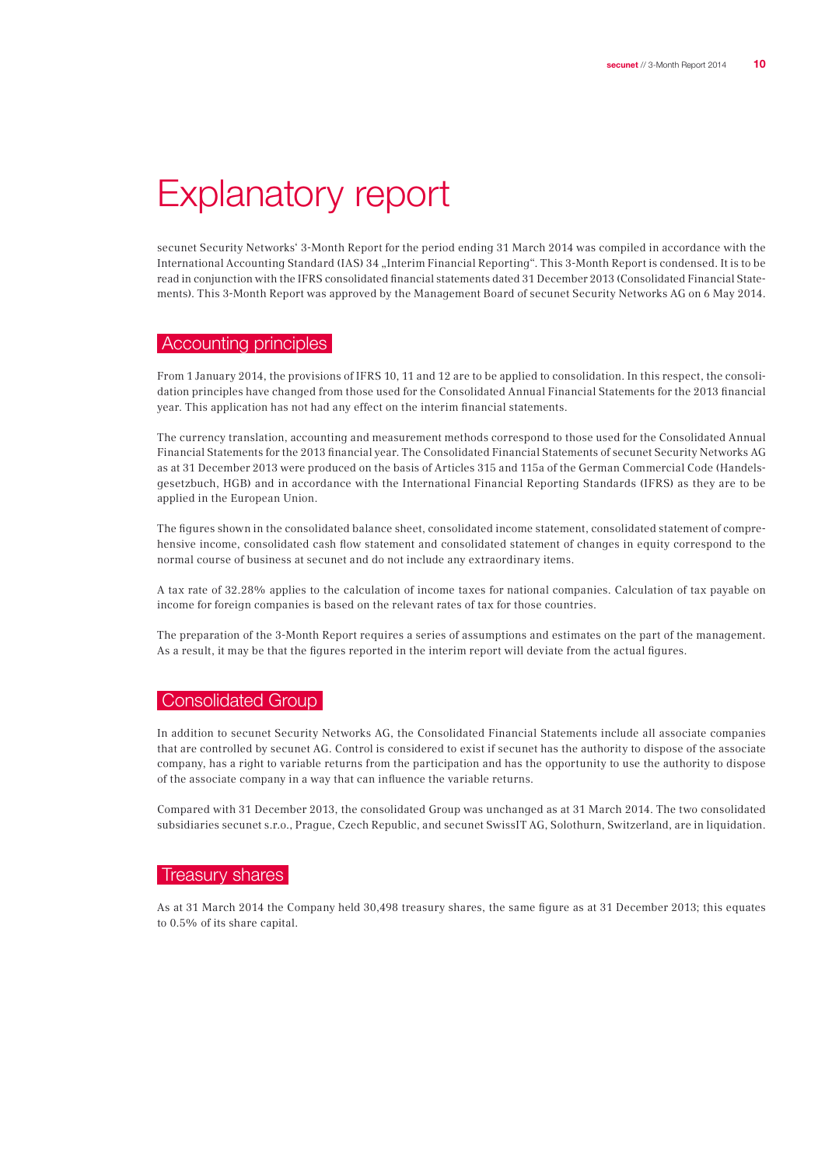## Explanatory report

secunet Security Networks' 3-Month Report for the period ending 31 March 2014 was compiled in accordance with the International Accounting Standard (IAS) 34 "Interim Financial Reporting". This 3-Month Report is condensed. It is to be read in conjunction with the IFRS consolidated financial statements dated 31 December 2013 (Consolidated Financial Statements). This 3-Month Report was approved by the Management Board of secunet Security Networks AG on 6 May 2014.

#### Accounting principles

From 1 January 2014, the provisions of IFRS 10, 11 and 12 are to be applied to consolidation. In this respect, the consolidation principles have changed from those used for the Consolidated Annual Financial Statements for the 2013 financial year. This application has not had any effect on the interim financial statements.

The currency translation, accounting and measurement methods correspond to those used for the Consolidated Annual Financial Statements for the 2013 financial year. The Consolidated Financial Statements of secunet Security Networks AG as at 31 December 2013 were produced on the basis of Articles 315 and 115a of the German Commercial Code (Handelsgesetzbuch, HGB) and in accordance with the International Financial Reporting Standards (IFRS) as they are to be applied in the European Union.

The figures shown in the consolidated balance sheet, consolidated income statement, consolidated statement of comprehensive income, consolidated cash flow statement and consolidated statement of changes in equity correspond to the normal course of business at secunet and do not include any extraordinary items.

A tax rate of 32.28% applies to the calculation of income taxes for national companies. Calculation of tax payable on income for foreign companies is based on the relevant rates of tax for those countries.

The preparation of the 3-Month Report requires a series of assumptions and estimates on the part of the management. As a result, it may be that the figures reported in the interim report will deviate from the actual figures.

#### **Consolidated Group**

In addition to secunet Security Networks AG, the Consolidated Financial Statements include all associate companies that are controlled by secunet AG. Control is considered to exist if secunet has the authority to dispose of the associate company, has a right to variable returns from the participation and has the opportunity to use the authority to dispose of the associate company in a way that can influence the variable returns.

Compared with 31 December 2013, the consolidated Group was unchanged as at 31 March 2014. The two consolidated subsidiaries secunet s.r.o., Prague, Czech Republic, and secunet SwissIT AG, Solothurn, Switzerland, are in liquidation.

#### Treasury shares

As at 31 March 2014 the Company held 30,498 treasury shares, the same figure as at 31 December 2013; this equates to 0.5% of its share capital.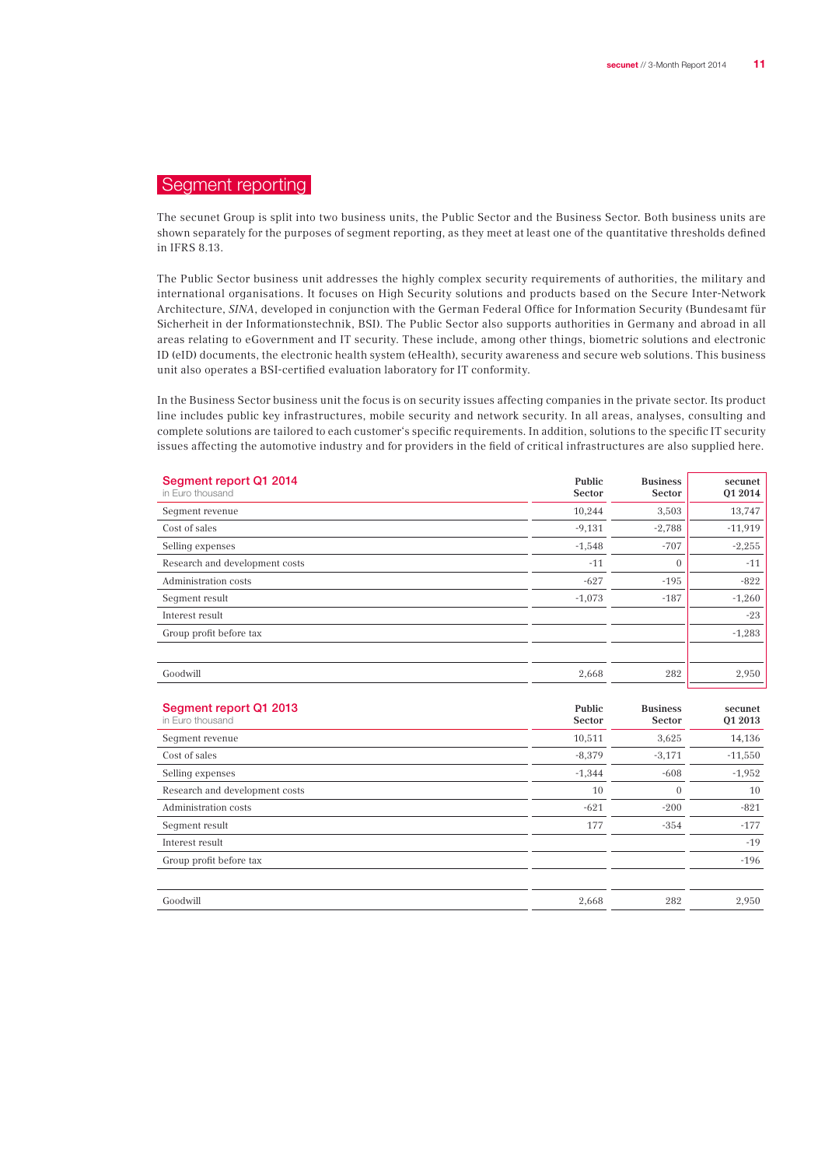## Segment reporting

The secunet Group is split into two business units, the Public Sector and the Business Sector. Both business units are shown separately for the purposes of segment reporting, as they meet at least one of the quantitative thresholds defined in IFRS 8.13.

The Public Sector business unit addresses the highly complex security requirements of authorities, the military and international organisations. It focuses on High Security solutions and products based on the Secure Inter-Network Architecture, SINA, developed in conjunction with the German Federal Office for Information Security (Bundesamt für Sicherheit in der Informationstechnik, BSI). The Public Sector also supports authorities in Germany and abroad in all areas relating to eGovernment and IT security. These include, among other things, biometric solutions and electronic ID (eID) documents, the electronic health system (eHealth), security awareness and secure web solutions. This business unit also operates a BSI-certified evaluation laboratory for IT conformity.

In the Business Sector business unit the focus is on security issues affecting companies in the private sector. Its product line includes public key infrastructures, mobile security and network security. In all areas, analyses, consulting and complete solutions are tailored to each customer's specific requirements. In addition, solutions to the specific IT security issues affecting the automotive industry and for providers in the field of critical infrastructures are also supplied here.

| Segment report Q1 2014<br>in Euro thousand | Public<br>Sector | <b>Business</b><br>Sector | secunet<br>01 2014 |
|--------------------------------------------|------------------|---------------------------|--------------------|
| Seqment revenue                            | 10,244           | 3,503                     | 13,747             |
| Cost of sales                              | $-9,131$         | $-2,788$                  | $-11,919$          |
| Selling expenses                           | $-1,548$         | $-707$                    | $-2,255$           |
| Research and development costs             | $-11$            | $\mathbf{0}$              | $-11$              |
| Administration costs                       | $-627$           | $-195$                    | $-822$             |
| Seqment result                             | $-1,073$         | $-187$                    | $-1,260$           |
| Interest result                            |                  |                           | $-23$              |
| Group profit before tax                    |                  |                           | $-1,283$           |
|                                            |                  |                           |                    |
| Goodwill                                   | 2,668            | 282                       | 2,950              |

| Segment report Q1 2013<br>in Euro thousand | Public<br>Sector | <b>Business</b><br><b>Sector</b> | secunet<br>01 2013 |
|--------------------------------------------|------------------|----------------------------------|--------------------|
| Segment revenue                            | 10,511           | 3,625                            | 14,136             |
| Cost of sales                              | $-8,379$         | $-3,171$                         | $-11,550$          |
| Selling expenses                           | $-1,344$         | $-608$                           | $-1,952$           |
| Research and development costs             | 10               | $\mathbf{0}$                     | 10                 |
| Administration costs                       | $-621$           | $-200$                           | $-821$             |
| Seqment result                             | 177              | $-354$                           | $-177$             |
| Interest result                            |                  |                                  | $-19$              |
| Group profit before tax                    |                  |                                  | $-196$             |
|                                            |                  |                                  |                    |
| Goodwill                                   | 2,668            | 282                              | 2,950              |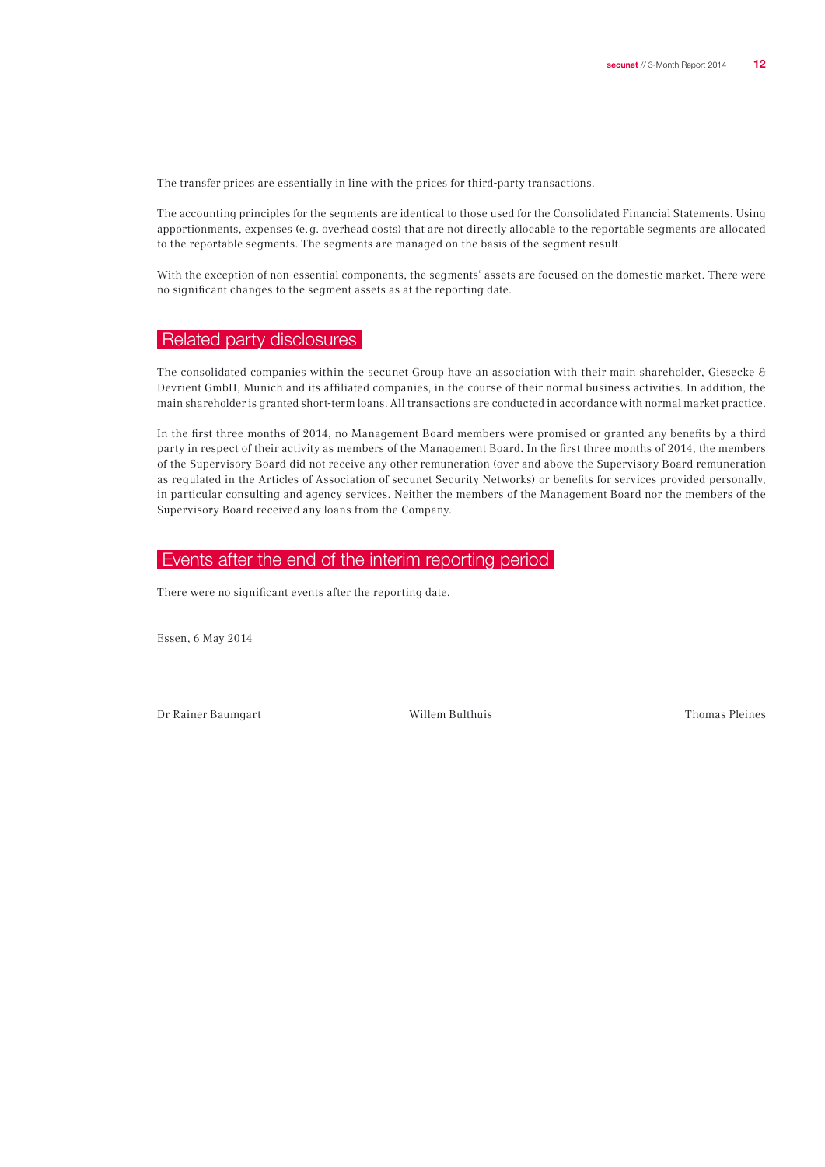The transfer prices are essentially in line with the prices for third-party transactions.

The accounting principles for the segments are identical to those used for the Consolidated Financial Statements. Using apportionments, expenses (e.g. overhead costs) that are not directly allocable to the reportable segments are allocated to the reportable segments. The segments are managed on the basis of the segment result.

With the exception of non-essential components, the segments' assets are focused on the domestic market. There were no significant changes to the segment assets as at the reporting date.

## Related party disclosures

The consolidated companies within the secunet Group have an association with their main shareholder, Giesecke & Devrient GmbH, Munich and its affiliated companies, in the course of their normal business activities. In addition, the main shareholder is granted short-term loans. All transactions are conducted in accordance with normal market practice.

In the first three months of 2014, no Management Board members were promised or granted any benefits by a third party in respect of their activity as members of the Management Board. In the first three months of 2014, the members of the Supervisory Board did not receive any other remuneration (over and above the Supervisory Board remuneration as regulated in the Articles of Association of secunet Security Networks) or benefits for services provided personally, in particular consulting and agency services. Neither the members of the Management Board nor the members of the Supervisory Board received any loans from the Company.

## Events after the end of the interim reporting period

There were no significant events after the reporting date.

Essen, 6 May 2014

Dr Rainer Baumgart Willem Bulthuis Thomas Pleines